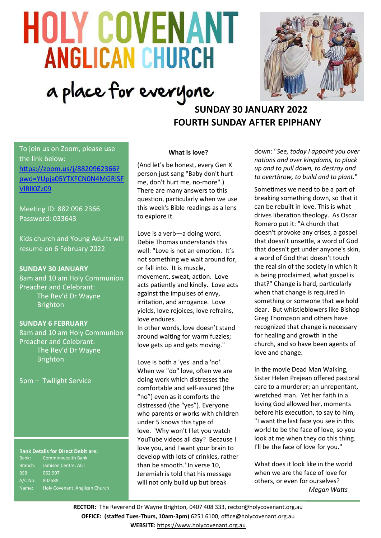# **HOLY COVENANT ANGLICAN CHURCH** a place for everyone



# **SUNDAY 30 JANUARY 2022 FOURTH SUNDAY AFTER EPIPHANY**

To join us on Zoom, please use the link below: [https://zoom.us/j/8820962366?](https://zoom.us/j/8820962366?pwd=YUpja05YTXFCN0N4MGRiSFVlRll0Zz09) [pwd=YUpja05YTXFCN0N4MGRiSF](https://zoom.us/j/8820962366?pwd=YUpja05YTXFCN0N4MGRiSFVlRll0Zz09) [VlRll0Zz09](https://zoom.us/j/8820962366?pwd=YUpja05YTXFCN0N4MGRiSFVlRll0Zz09)

Meeting ID: 882 096 2366 Password: 033643

Kids church and Young Adults will resume on 6 February 2022

### **SUNDAY 30 JANUARY**

8am and 10 am Holy Communion Preacher and Celebrant: The Rev'd Dr Wayne **Brighton** 

#### **SUNDAY 6 FEBRUARY**

8am and 10 am Holy Communion Preacher and Celebrant: The Rev'd Dr Wayne **Brighton** 

5pm – Twilight Service

# B**ank Details for Direct Debit are:**

Bank: Commonwealth Bank BSB: 062 907 A/C No: 802588 Name: Holy Covenant Anglican Church

#### **What is love?**

(And let's be honest, every Gen X person just sang "Baby don't hurt me, don't hurt me, no-more".) There are many answers to this question, particularly when we use this week's Bible readings as a lens to explore it.

Love is a verb—a doing word. Debie Thomas understands this well: "Love is not an emotion. It's not something we wait around for, or fall into. It is muscle, movement, sweat, action. Love acts patiently and kindly. Love acts against the impulses of envy, irritation, and arrogance. Love yields, love rejoices, love refrains, love endures.

In other words, love doesn't stand around waiting for warm fuzzies; love gets up and gets moving."

Love is both a 'yes' and a 'no'. When we "do" love, often we are doing work which distresses the comfortable and self-assured (the "no") even as it comforts the distressed (the "yes"). Everyone who parents or works with children under 5 knows this type of love. 'Why won't I let you watch YouTube videos all day? Because I love you, and I want your brain to develop with lots of crinkles, rather than be smooth.' In verse 10, Jeremiah is told that his message will not only build up but break

down: "*See, today I appoint you over nations and over kingdoms, to pluck up and to pull down, to destroy and to overthrow, to build and to plant.*"

Sometimes we need to be a part of breaking something down, so that it can be rebuilt in love. This is what drives liberation theology. As Oscar Romero put it: "A church that doesn't provoke any crises, a gospel that doesn't unsettle, a word of God that doesn't get under anyone's skin, a word of God that doesn't touch the real sin of the society in which it is being proclaimed, what gospel is that?" Change is hard, particularly when that change is required in something or someone that we hold dear. But whistleblowers like Bishop Greg Thompson and others have recognized that change is necessary for healing and growth in the church, and so have been agents of love and change.

In the movie Dead Man Walking, Sister Helen Prejean offered pastoral care to a murderer; an unrepentant, wretched man. Yet her faith in a loving God allowed her, moments before his execution, to say to him, "I want the last face you see in this world to be the face of love, so you look at me when they do this thing. I'll be the face of love for you."

What does it look like in the world when we are the face of love for others, or even for ourselves? *Megan Watts*

**RECTOR:** The Reverend Dr Wayne Brighton, 0407 408 333, [rector@holycovenant.org.au](mailto:rector@holycovenant.org.au) **OFFICE: (staffed Tues-Thurs, 10am-3pm)** 6251 6100, office@holycovenant.org.au **WEBSITE:** [https://www.holycovenant.org.au](https://www.holycovenant.org.au/)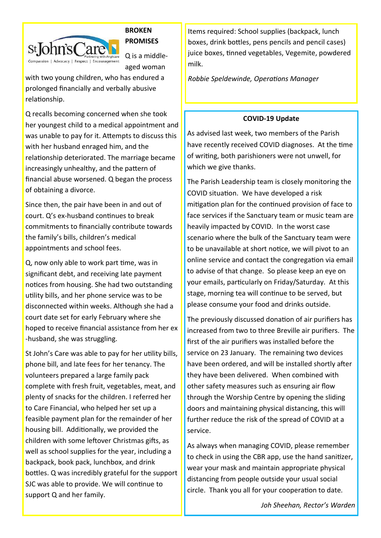

# **BROKEN PROMISES**

Q is a middleaged woman

with two young children, who has endured a prolonged financially and verbally abusive relationship.

Q recalls becoming concerned when she took her youngest child to a medical appointment and was unable to pay for it. Attempts to discuss this with her husband enraged him, and the relationship deteriorated. The marriage became increasingly unhealthy, and the pattern of financial abuse worsened. Q began the process of obtaining a divorce.

Since then, the pair have been in and out of court. Q's ex-husband continues to break commitments to financially contribute towards the family's bills, children's medical appointments and school fees.

Q, now only able to work part time, was in significant debt, and receiving late payment notices from housing. She had two outstanding utility bills, and her phone service was to be disconnected within weeks. Although she had a court date set for early February where she hoped to receive financial assistance from her ex -husband, she was struggling.

St John's Care was able to pay for her utility bills, phone bill, and late fees for her tenancy. The volunteers prepared a large family pack complete with fresh fruit, vegetables, meat, and plenty of snacks for the children. I referred her to Care Financial, who helped her set up a feasible payment plan for the remainder of her housing bill. Additionally, we provided the children with some leftover Christmas gifts, as well as school supplies for the year, including a backpack, book pack, lunchbox, and drink bottles. Q was incredibly grateful for the support SJC was able to provide. We will continue to support Q and her family.

Items required: School supplies (backpack, lunch boxes, drink bottles, pens pencils and pencil cases) juice boxes, tinned vegetables, Vegemite, powdered milk.

*Robbie Speldewinde, Operations Manager*

# **COVID-19 Update**

As advised last week, two members of the Parish have recently received COVID diagnoses. At the time of writing, both parishioners were not unwell, for which we give thanks.

The Parish Leadership team is closely monitoring the COVID situation. We have developed a risk mitigation plan for the continued provision of face to face services if the Sanctuary team or music team are heavily impacted by COVID. In the worst case scenario where the bulk of the Sanctuary team were to be unavailable at short notice, we will pivot to an online service and contact the congregation via email to advise of that change. So please keep an eye on your emails, particularly on Friday/Saturday. At this stage, morning tea will continue to be served, but please consume your food and drinks outside.

The previously discussed donation of air purifiers has increased from two to three Breville air purifiers. The first of the air purifiers was installed before the service on 23 January. The remaining two devices have been ordered, and will be installed shortly after they have been delivered. When combined with other safety measures such as ensuring air flow through the Worship Centre by opening the sliding doors and maintaining physical distancing, this will further reduce the risk of the spread of COVID at a service.

As always when managing COVID, please remember to check in using the CBR app, use the hand sanitizer, wear your mask and maintain appropriate physical distancing from people outside your usual social circle. Thank you all for your cooperation to date.

*Joh Sheehan, Rector's Warden*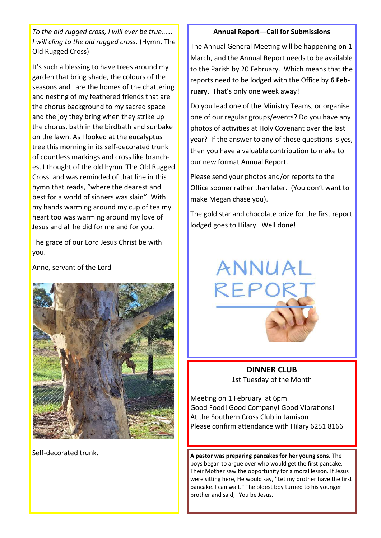*To the old rugged cross, I will ever be true...… I will cling to the old rugged cross.* (Hymn, The Old Rugged Cross)

It's such a blessing to have trees around my garden that bring shade, the colours of the seasons and are the homes of the chattering and nesting of my feathered friends that are the chorus background to my sacred space and the joy they bring when they strike up the chorus, bath in the birdbath and sunbake on the lawn. As I looked at the eucalyptus tree this morning in its self-decorated trunk of countless markings and cross like branches, I thought of the old hymn 'The Old Rugged Cross' and was reminded of that line in this hymn that reads, "where the dearest and best for a world of sinners was slain". With my hands warming around my cup of tea my heart too was warming around my love of Jesus and all he did for me and for you.

The grace of our Lord Jesus Christ be with you.

Anne, servant of the Lord



Self-decorated trunk.

### **Annual Report—Call for Submissions**

The Annual General Meeting will be happening on 1 March, and the Annual Report needs to be available to the Parish by 20 February. Which means that the reports need to be lodged with the Office by **6 February**. That's only one week away!

Do you lead one of the Ministry Teams, or organise one of our regular groups/events? Do you have any photos of activities at Holy Covenant over the last year? If the answer to any of those questions is yes, then you have a valuable contribution to make to our new format Annual Report.

Please send your photos and/or reports to the Office sooner rather than later. (You don't want to make Megan chase you).

The gold star and chocolate prize for the first report lodged goes to Hilary. Well done!



**DINNER CLUB** 1st Tuesday of the Month

Meeting on 1 February at 6pm Good Food! Good Company! Good Vibrations! At the Southern Cross Club in Jamison Please confirm attendance with Hilary 6251 8166

**A pastor was preparing pancakes for her young sons.** The boys began to argue over who would get the first pancake. Their Mother saw the opportunity for a moral lesson. If Jesus were sitting here, He would say, "Let my brother have the first pancake. I can wait." The oldest boy turned to his younger brother and said, "You be Jesus."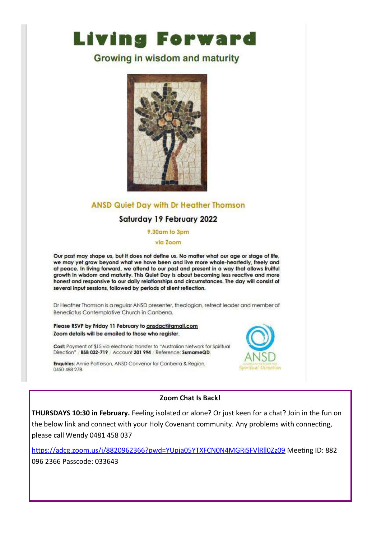# **Living Forward**

# **Growing in wisdom and maturity**



# **ANSD Quiet Day with Dr Heather Thomson**

# Saturday 19 February 2022

#### 9.30am to 3pm

via Zoom

Our past may shape us, but it does not define us. No matter what our age or stage of life, we may yet grow beyond what we have been and live more whole-heartedly, freely and at peace. In living forward, we attend to our past and present in a way that allows fruitful growth in wisdom and maturity. This Quiet Day is about becoming less reactive and more honest and responsive to our daily relationships and circumstances. The day will consist of several input sessions, followed by periods of silent reflection.

Dr Heather Thomson is a regular ANSD presenter, theologian, retreat leader and member of Benedictus Contemplative Church in Canberra.

Please RSVP by Friday 11 February to ansdact@gmail.com Zoom details will be emailed to those who register.

Cost: Payment of \$15 via electronic transfer to "Australian Network for Spiritual Direction" / BSB 032-719 / Account 301 994 / Reference: SurnameQD.

Enquiries: Annie Patterson, ANSD Convenor for Canberra & Region, 0450 488 278.



## Zoom Chat Is Back!

THURSDAYS 10:30 in February. Feeling isolated or alone? Or just keen for a chat? Join in the fun on the below link and connect with your Holy Covenant community. Any problems with connecting, please call Wendy 0481 458 037

https://adcg.zoom.us/j/8820962366?pwd=YUpja05YTXFCN0N4MGRiSFVlRII0Zz09 Meeting ID: 882 096 2366 Passcode: 033643